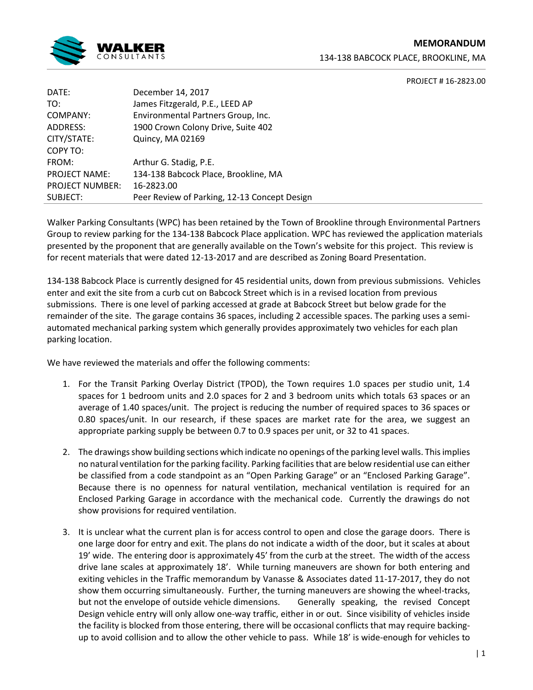

**MEMORANDUM** 134-138 BABCOCK PLACE, BROOKLINE, MA

PROJECT # 16-2823.00

| DATE:                  | December 14, 2017                            |
|------------------------|----------------------------------------------|
| TO:                    | James Fitzgerald, P.E., LEED AP              |
| COMPANY:               | Environmental Partners Group, Inc.           |
| ADDRESS:               | 1900 Crown Colony Drive, Suite 402           |
| CITY/STATE:            | Quincy, MA 02169                             |
| COPY TO:               |                                              |
| FROM:                  | Arthur G. Stadig, P.E.                       |
| <b>PROJECT NAME:</b>   | 134-138 Babcock Place, Brookline, MA         |
| <b>PROJECT NUMBER:</b> | 16-2823.00                                   |
| SUBJECT:               | Peer Review of Parking, 12-13 Concept Design |
|                        |                                              |

Walker Parking Consultants (WPC) has been retained by the Town of Brookline through Environmental Partners Group to review parking for the 134-138 Babcock Place application. WPC has reviewed the application materials presented by the proponent that are generally available on the Town's website for this project. This review is for recent materials that were dated 12-13-2017 and are described as Zoning Board Presentation.

134-138 Babcock Place is currently designed for 45 residential units, down from previous submissions. Vehicles enter and exit the site from a curb cut on Babcock Street which is in a revised location from previous submissions. There is one level of parking accessed at grade at Babcock Street but below grade for the remainder of the site. The garage contains 36 spaces, including 2 accessible spaces. The parking uses a semiautomated mechanical parking system which generally provides approximately two vehicles for each plan parking location.

We have reviewed the materials and offer the following comments:

- 1. For the Transit Parking Overlay District (TPOD), the Town requires 1.0 spaces per studio unit, 1.4 spaces for 1 bedroom units and 2.0 spaces for 2 and 3 bedroom units which totals 63 spaces or an average of 1.40 spaces/unit. The project is reducing the number of required spaces to 36 spaces or 0.80 spaces/unit. In our research, if these spaces are market rate for the area, we suggest an appropriate parking supply be between 0.7 to 0.9 spaces per unit, or 32 to 41 spaces.
- 2. The drawings show building sections which indicate no openings of the parking level walls. This implies no natural ventilation for the parking facility. Parking facilities that are below residential use can either be classified from a code standpoint as an "Open Parking Garage" or an "Enclosed Parking Garage". Because there is no openness for natural ventilation, mechanical ventilation is required for an Enclosed Parking Garage in accordance with the mechanical code. Currently the drawings do not show provisions for required ventilation.
- 3. It is unclear what the current plan is for access control to open and close the garage doors. There is one large door for entry and exit. The plans do not indicate a width of the door, but it scales at about 19' wide. The entering door is approximately 45' from the curb at the street. The width of the access drive lane scales at approximately 18'. While turning maneuvers are shown for both entering and exiting vehicles in the Traffic memorandum by Vanasse & Associates dated 11-17-2017, they do not show them occurring simultaneously. Further, the turning maneuvers are showing the wheel-tracks, but not the envelope of outside vehicle dimensions. Generally speaking, the revised Concept Design vehicle entry will only allow one-way traffic, either in or out. Since visibility of vehicles inside the facility is blocked from those entering, there will be occasional conflicts that may require backingup to avoid collision and to allow the other vehicle to pass. While 18' is wide-enough for vehicles to